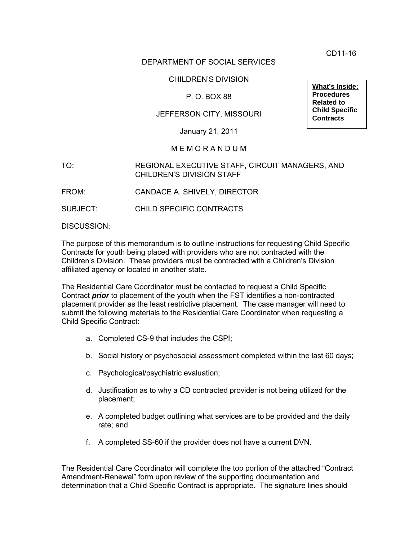CD11-16

## DEPARTMENT OF SOCIAL SERVICES

### CHILDREN'S DIVISION

## P. O. BOX 88

## JEFFERSON CITY, MISSOURI

January 21, 2011

#### M E M O R A N D U M

#### TO: REGIONAL EXECUTIVE STAFF, CIRCUIT MANAGERS, AND CHILDREN'S DIVISION STAFF

FROM: CANDACE A. SHIVELY, DIRECTOR

SUBJECT: CHILD SPECIFIC CONTRACTS

DISCUSSION:

The purpose of this memorandum is to outline instructions for requesting Child Specific Contracts for youth being placed with providers who are not contracted with the Children's Division. These providers must be contracted with a Children's Division affiliated agency or located in another state.

The Residential Care Coordinator must be contacted to request a Child Specific Contract *prior* to placement of the youth when the FST identifies a non-contracted placement provider as the least restrictive placement. The case manager will need to submit the following materials to the Residential Care Coordinator when requesting a Child Specific Contract:

- a. Completed CS-9 that includes the CSPI;
- b. Social history or psychosocial assessment completed within the last 60 days;
- c. Psychological/psychiatric evaluation;
- d. Justification as to why a CD contracted provider is not being utilized for the placement;
- e. A completed budget outlining what services are to be provided and the daily rate; and
- f. A completed SS-60 if the provider does not have a current DVN.

The Residential Care Coordinator will complete the top portion of the attached "Contract Amendment-Renewal" form upon review of the supporting documentation and determination that a Child Specific Contract is appropriate. The signature lines should

**What's Inside: Procedures Related to Child Specific Contracts**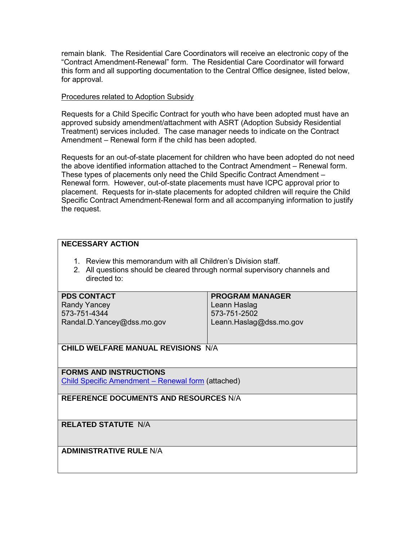remain blank. The Residential Care Coordinators will receive an electronic copy of the "Contract Amendment-Renewal" form. The Residential Care Coordinator will forward this form and all supporting documentation to the Central Office designee, listed below, for approval.

#### Procedures related to Adoption Subsidy

Requests for a Child Specific Contract for youth who have been adopted must have an approved subsidy amendment/attachment with ASRT (Adoption Subsidy Residential Treatment) services included. The case manager needs to indicate on the Contract Amendment – Renewal form if the child has been adopted.

Requests for an out-of-state placement for children who have been adopted do not need the above identified information attached to the Contract Amendment – Renewal form. These types of placements only need the Child Specific Contract Amendment – Renewal form. However, out-of-state placements must have ICPC approval prior to placement. Requests for in-state placements for adopted children will require the Child Specific Contract Amendment-Renewal form and all accompanying information to justify the request.

### **NECESSARY ACTION**

- 1. Review this memorandum with all Children's Division staff.
- 2. All questions should be cleared through normal supervisory channels and directed to:

## **PDS CONTACT**

Randy Yancey 573-751-4344 Randal.D.Yancey@dss.mo.gov

## **PROGRAM MANAGER**

Leann Haslag 573-751-2502 Leann.Haslag@dss.mo.gov

**CHILD WELFARE MANUAL REVISIONS** N/A

## **FORMS AND INSTRUCTIONS**

[Child Specific Amendment – Renewal form](http://www.dss.mo.gov/cd/info/memos/2011/cd11-016att.pdf) (attached)

**REFERENCE DOCUMENTS AND RESOURCES** N/A

## **RELATED STATUTE** N/A

**ADMINISTRATIVE RULE** N/A